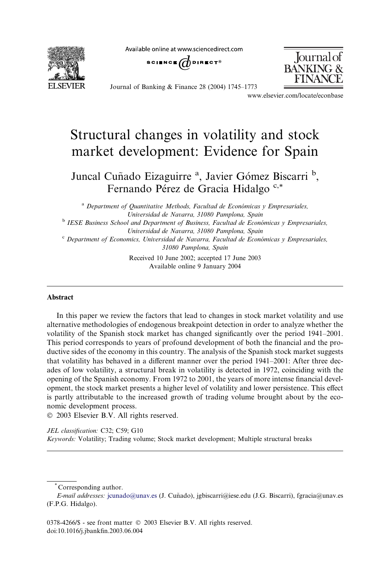Available online at www.sciencedirect.com



SCIENCE  $\bigoplus$  direct<sup>®</sup>



Journal of Banking & Finance 28 (2004) 1745–1773

www.elsevier.com/locate/econbase

## Structural changes in volatility and stock market development: Evidence for Spain

Juncal Cuñado Eizaguirre <sup>a</sup>, Javier Gómez Biscarri<sup>b</sup>, Fernando Pérez de Gracia Hidalgo<sup>c,\*</sup>

<sup>a</sup> Department of Quantitative Methods, Facultad de Económicas y Empresariales, Universidad de Navarra, 31080 Pamplona, Spain

<sup>b</sup> IESE Business School and Department of Business, Facultad de Económicas y Empresariales, Universidad de Navarra, 31080 Pamplona, Spain

 $\textdegree$  Department of Economics, Universidad de Navarra, Facultad de Económicas y Empresariales, 31080 Pamplona, Spain

> Received 10 June 2002; accepted 17 June 2003 Available online 9 January 2004

## Abstract

In this paper we review the factors that lead to changes in stock market volatility and use alternative methodologies of endogenous breakpoint detection in order to analyze whether the volatility of the Spanish stock market has changed significantly over the period 1941–2001. This period corresponds to years of profound development of both the financial and the productive sides of the economy in this country. The analysis of the Spanish stock market suggests that volatility has behaved in a different manner over the period 1941–2001: After three decades of low volatility, a structural break in volatility is detected in 1972, coinciding with the opening of the Spanish economy. From 1972 to 2001, the years of more intense financial development, the stock market presents a higher level of volatility and lower persistence. This effect is partly attributable to the increased growth of trading volume brought about by the economic development process.

2003 Elsevier B.V. All rights reserved.

JEL classification: C32; C59; G10 Keywords: Volatility; Trading volume; Stock market development; Multiple structural breaks

Corresponding author.

E-mail addresses: [jcunado@unav.es](mail to: jcunado@unav.es) (J. Cuñado), jgbiscarri@iese.edu (J.G. Biscarri), fgracia@unav.es (F.P.G. Hidalgo).

<sup>0378-4266/\$ -</sup> see front matter  $\odot$  2003 Elsevier B.V. All rights reserved. doi:10.1016/j.jbankfin.2003.06.004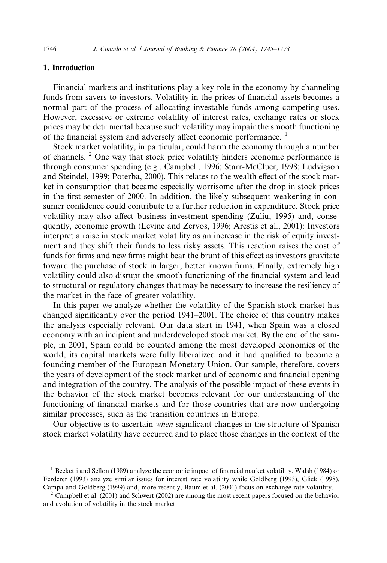## 1. Introduction

Financial markets and institutions play a key role in the economy by channeling funds from savers to investors. Volatility in the prices of financial assets becomes a normal part of the process of allocating investable funds among competing uses. However, excessive or extreme volatility of interest rates, exchange rates or stock prices may be detrimental because such volatility may impair the smooth functioning of the financial system and adversely affect economic performance.<sup>1</sup>

Stock market volatility, in particular, could harm the economy through a number of channels.  $2^{\circ}$  One way that stock price volatility hinders economic performance is through consumer spending (e.g., Campbell, 1996; Starr-McCluer, 1998; Ludvigson and Steindel, 1999; Poterba, 2000). This relates to the wealth effect of the stock market in consumption that became especially worrisome after the drop in stock prices in the first semester of 2000. In addition, the likely subsequent weakening in consumer confidence could contribute to a further reduction in expenditure. Stock price volatility may also affect business investment spending (Zuliu, 1995) and, consequently, economic growth (Levine and Zervos, 1996; Arestis et al., 2001): Investors interpret a raise in stock market volatility as an increase in the risk of equity investment and they shift their funds to less risky assets. This reaction raises the cost of funds for firms and new firms might bear the brunt of this effect as investors gravitate toward the purchase of stock in larger, better known firms. Finally, extremely high volatility could also disrupt the smooth functioning of the financial system and lead to structural or regulatory changes that may be necessary to increase the resiliency of the market in the face of greater volatility.

In this paper we analyze whether the volatility of the Spanish stock market has changed significantly over the period 1941–2001. The choice of this country makes the analysis especially relevant. Our data start in 1941, when Spain was a closed economy with an incipient and underdeveloped stock market. By the end of the sample, in 2001, Spain could be counted among the most developed economies of the world, its capital markets were fully liberalized and it had qualified to become a founding member of the European Monetary Union. Our sample, therefore, covers the years of development of the stock market and of economic and financial opening and integration of the country. The analysis of the possible impact of these events in the behavior of the stock market becomes relevant for our understanding of the functioning of financial markets and for those countries that are now undergoing similar processes, such as the transition countries in Europe.

Our objective is to ascertain when significant changes in the structure of Spanish stock market volatility have occurred and to place those changes in the context of the

<sup>1</sup> Becketti and Sellon (1989) analyze the economic impact of financial market volatility. Walsh (1984) or Ferderer (1993) analyze similar issues for interest rate volatility while Goldberg (1993), Glick (1998), Campa and Goldberg (1999) and, more recently, Baum et al. (2001) focus on exchange rate volatility. <sup>2</sup> Campbell et al. (2001) and Schwert (2002) are among the most recent papers focused on the behavior

and evolution of volatility in the stock market.